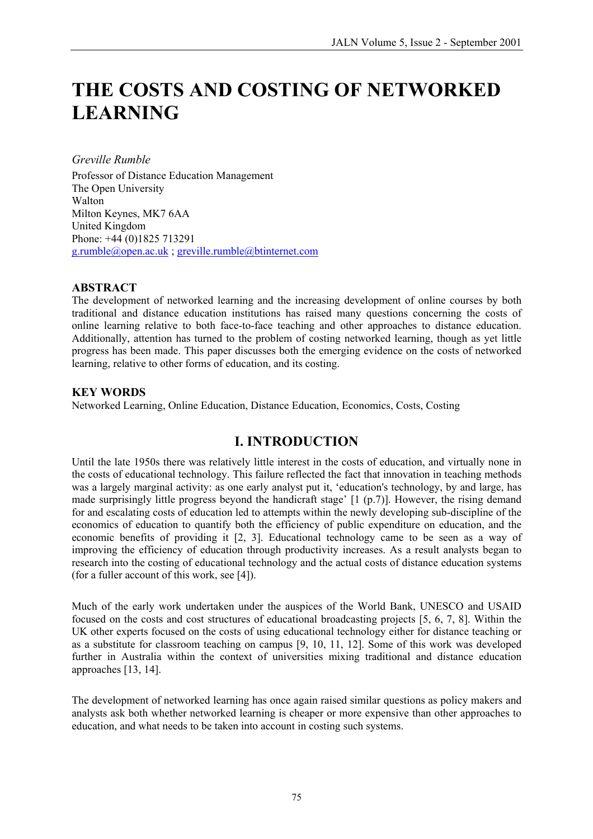# **THE COSTS AND COSTING OF NETWORKED LEARNING**

*Greville Rumble* 

Professor of Distance Education Management The Open University Walton Milton Keynes, MK7 6AA United Kingdom Phone: +44 (0)1825 713291 [g.rumble@open.ac.uk](mailto:g.rumble@open.ac.uk) ; [greville.rumble@btinternet.com](mailto:greville.rumble@btinternet.com)

#### **ABSTRACT**

The development of networked learning and the increasing development of online courses by both traditional and distance education institutions has raised many questions concerning the costs of online learning relative to both face-to-face teaching and other approaches to distance education. Additionally, attention has turned to the problem of costing networked learning, though as yet little progress has been made. This paper discusses both the emerging evidence on the costs of networked learning, relative to other forms of education, and its costing.

#### **KEY WORDS**

Networked Learning, Online Education, Distance Education, Economics, Costs, Costing

#### **I. INTRODUCTION**

Until the late 1950s there was relatively little interest in the costs of education, and virtually none in the costs of educational technology. This failure reflected the fact that innovation in teaching methods was a largely marginal activity: as one early analyst put it, 'education's technology, by and large, has made surprisingly little progress beyond the handicraft stage' [1 (p.7)]. However, the rising demand for and escalating costs of education led to attempts within the newly developing sub-discipline of the economics of education to quantify both the efficiency of public expenditure on education, and the economic benefits of providing it [2, 3]. Educational technology came to be seen as a way of improving the efficiency of education through productivity increases. As a result analysts began to research into the costing of educational technology and the actual costs of distance education systems (for a fuller account of this work, see [4]).

Much of the early work undertaken under the auspices of the World Bank, UNESCO and USAID focused on the costs and cost structures of educational broadcasting projects [5, 6, 7, 8]. Within the UK other experts focused on the costs of using educational technology either for distance teaching or as a substitute for classroom teaching on campus [9, 10, 11, 12]. Some of this work was developed further in Australia within the context of universities mixing traditional and distance education approaches [13, 14].

The development of networked learning has once again raised similar questions as policy makers and analysts ask both whether networked learning is cheaper or more expensive than other approaches to education, and what needs to be taken into account in costing such systems.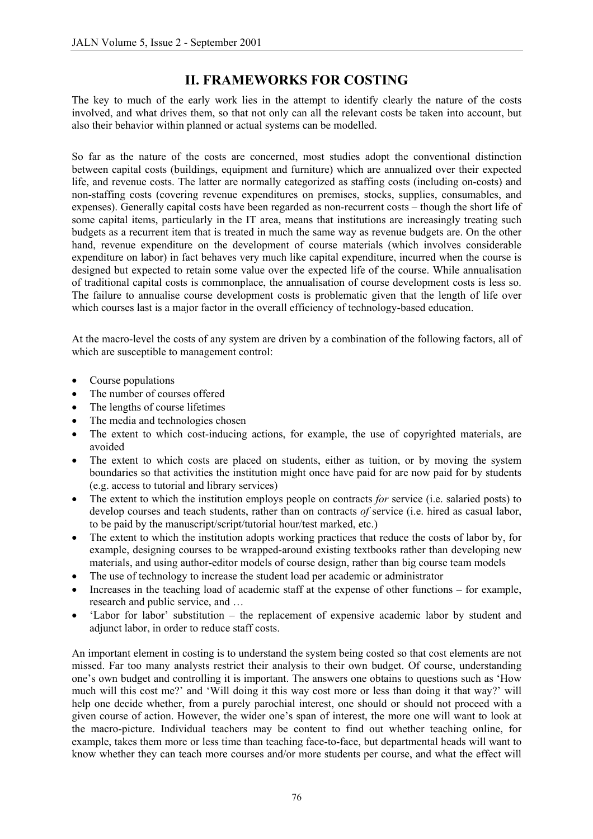### **II. FRAMEWORKS FOR COSTING**

The key to much of the early work lies in the attempt to identify clearly the nature of the costs involved, and what drives them, so that not only can all the relevant costs be taken into account, but also their behavior within planned or actual systems can be modelled.

So far as the nature of the costs are concerned, most studies adopt the conventional distinction between capital costs (buildings, equipment and furniture) which are annualized over their expected life, and revenue costs. The latter are normally categorized as staffing costs (including on-costs) and non-staffing costs (covering revenue expenditures on premises, stocks, supplies, consumables, and expenses). Generally capital costs have been regarded as non-recurrent costs – though the short life of some capital items, particularly in the IT area, means that institutions are increasingly treating such budgets as a recurrent item that is treated in much the same way as revenue budgets are. On the other hand, revenue expenditure on the development of course materials (which involves considerable expenditure on labor) in fact behaves very much like capital expenditure, incurred when the course is designed but expected to retain some value over the expected life of the course. While annualisation of traditional capital costs is commonplace, the annualisation of course development costs is less so. The failure to annualise course development costs is problematic given that the length of life over which courses last is a major factor in the overall efficiency of technology-based education.

At the macro-level the costs of any system are driven by a combination of the following factors, all of which are susceptible to management control:

- Course populations
- The number of courses offered
- The lengths of course lifetimes
- The media and technologies chosen
- The extent to which cost-inducing actions, for example, the use of copyrighted materials, are avoided
- The extent to which costs are placed on students, either as tuition, or by moving the system boundaries so that activities the institution might once have paid for are now paid for by students (e.g. access to tutorial and library services)
- The extent to which the institution employs people on contracts *for* service (i.e. salaried posts) to develop courses and teach students, rather than on contracts *of* service (i.e. hired as casual labor, to be paid by the manuscript/script/tutorial hour/test marked, etc.)
- The extent to which the institution adopts working practices that reduce the costs of labor by, for example, designing courses to be wrapped-around existing textbooks rather than developing new materials, and using author-editor models of course design, rather than big course team models
- The use of technology to increase the student load per academic or administrator
- Increases in the teaching load of academic staff at the expense of other functions for example, research and public service, and …
- 'Labor for labor' substitution the replacement of expensive academic labor by student and adjunct labor, in order to reduce staff costs.

An important element in costing is to understand the system being costed so that cost elements are not missed. Far too many analysts restrict their analysis to their own budget. Of course, understanding one's own budget and controlling it is important. The answers one obtains to questions such as 'How much will this cost me?' and 'Will doing it this way cost more or less than doing it that way?' will help one decide whether, from a purely parochial interest, one should or should not proceed with a given course of action. However, the wider one's span of interest, the more one will want to look at the macro-picture. Individual teachers may be content to find out whether teaching online, for example, takes them more or less time than teaching face-to-face, but departmental heads will want to know whether they can teach more courses and/or more students per course, and what the effect will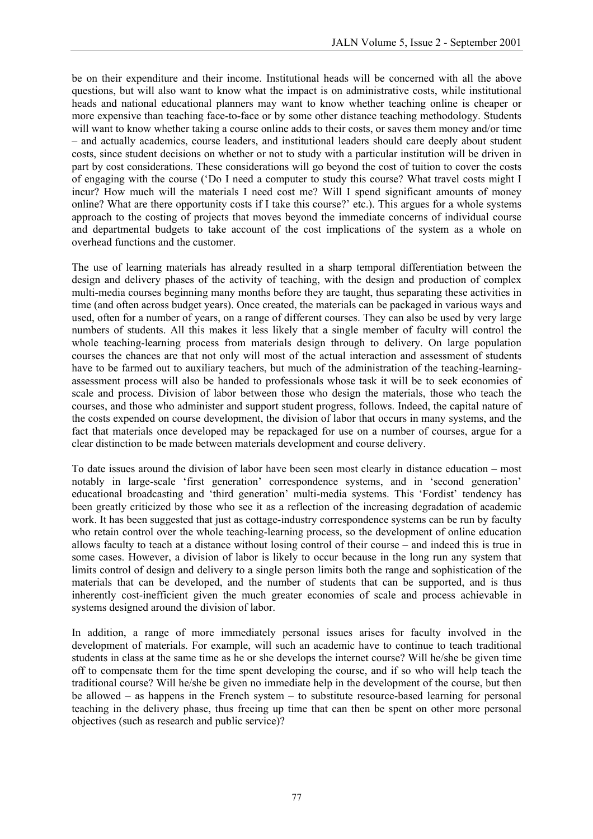be on their expenditure and their income. Institutional heads will be concerned with all the above questions, but will also want to know what the impact is on administrative costs, while institutional heads and national educational planners may want to know whether teaching online is cheaper or more expensive than teaching face-to-face or by some other distance teaching methodology. Students will want to know whether taking a course online adds to their costs, or saves them money and/or time – and actually academics, course leaders, and institutional leaders should care deeply about student costs, since student decisions on whether or not to study with a particular institution will be driven in part by cost considerations. These considerations will go beyond the cost of tuition to cover the costs of engaging with the course ('Do I need a computer to study this course? What travel costs might I incur? How much will the materials I need cost me? Will I spend significant amounts of money online? What are there opportunity costs if I take this course?' etc.). This argues for a whole systems approach to the costing of projects that moves beyond the immediate concerns of individual course and departmental budgets to take account of the cost implications of the system as a whole on overhead functions and the customer.

The use of learning materials has already resulted in a sharp temporal differentiation between the design and delivery phases of the activity of teaching, with the design and production of complex multi-media courses beginning many months before they are taught, thus separating these activities in time (and often across budget years). Once created, the materials can be packaged in various ways and used, often for a number of years, on a range of different courses. They can also be used by very large numbers of students. All this makes it less likely that a single member of faculty will control the whole teaching-learning process from materials design through to delivery. On large population courses the chances are that not only will most of the actual interaction and assessment of students have to be farmed out to auxiliary teachers, but much of the administration of the teaching-learningassessment process will also be handed to professionals whose task it will be to seek economies of scale and process. Division of labor between those who design the materials, those who teach the courses, and those who administer and support student progress, follows. Indeed, the capital nature of the costs expended on course development, the division of labor that occurs in many systems, and the fact that materials once developed may be repackaged for use on a number of courses, argue for a clear distinction to be made between materials development and course delivery.

To date issues around the division of labor have been seen most clearly in distance education – most notably in large-scale 'first generation' correspondence systems, and in 'second generation' educational broadcasting and 'third generation' multi-media systems. This 'Fordist' tendency has been greatly criticized by those who see it as a reflection of the increasing degradation of academic work. It has been suggested that just as cottage-industry correspondence systems can be run by faculty who retain control over the whole teaching-learning process, so the development of online education allows faculty to teach at a distance without losing control of their course – and indeed this is true in some cases. However, a division of labor is likely to occur because in the long run any system that limits control of design and delivery to a single person limits both the range and sophistication of the materials that can be developed, and the number of students that can be supported, and is thus inherently cost-inefficient given the much greater economies of scale and process achievable in systems designed around the division of labor.

In addition, a range of more immediately personal issues arises for faculty involved in the development of materials. For example, will such an academic have to continue to teach traditional students in class at the same time as he or she develops the internet course? Will he/she be given time off to compensate them for the time spent developing the course, and if so who will help teach the traditional course? Will he/she be given no immediate help in the development of the course, but then be allowed – as happens in the French system – to substitute resource-based learning for personal teaching in the delivery phase, thus freeing up time that can then be spent on other more personal objectives (such as research and public service)?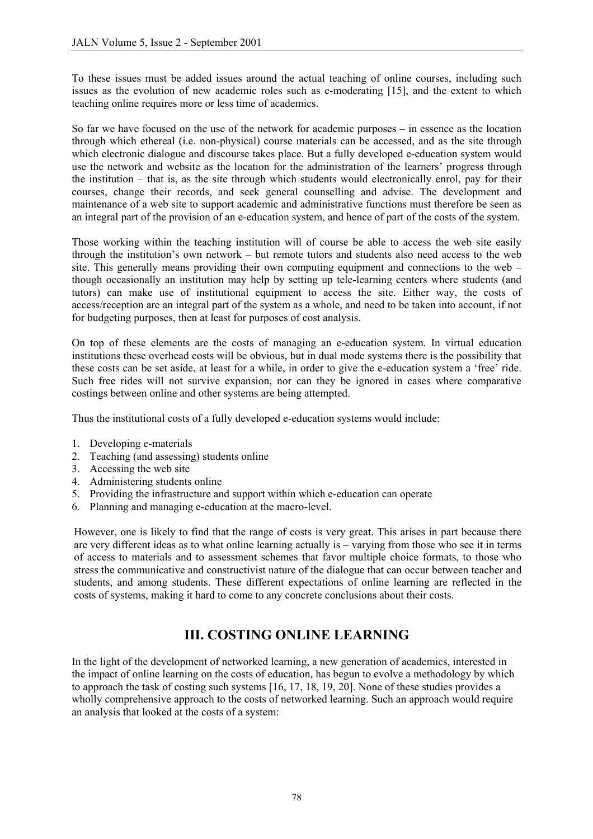To these issues must be added issues around the actual teaching of online courses, including such issues as the evolution of new academic roles such as e-moderating [15], and the extent to which teaching online requires more or less time of academics.

So far we have focused on the use of the network for academic purposes – in essence as the location through which ethereal (i.e. non-physical) course materials can be accessed, and as the site through which electronic dialogue and discourse takes place. But a fully developed e-education system would use the network and website as the location for the administration of the learners' progress through the institution – that is, as the site through which students would electronically enrol, pay for their courses, change their records, and seek general counselling and advise. The development and maintenance of a web site to support academic and administrative functions must therefore be seen as an integral part of the provision of an e-education system, and hence of part of the costs of the system.

Those working within the teaching institution will of course be able to access the web site easily through the institution's own network – but remote tutors and students also need access to the web site. This generally means providing their own computing equipment and connections to the web – though occasionally an institution may help by setting up tele-learning centers where students (and tutors) can make use of institutional equipment to access the site. Either way, the costs of access/reception are an integral part of the system as a whole, and need to be taken into account, if not for budgeting purposes, then at least for purposes of cost analysis.

On top of these elements are the costs of managing an e-education system. In virtual education institutions these overhead costs will be obvious, but in dual mode systems there is the possibility that these costs can be set aside, at least for a while, in order to give the e-education system a 'free' ride. Such free rides will not survive expansion, nor can they be ignored in cases where comparative costings between online and other systems are being attempted.

Thus the institutional costs of a fully developed e-education systems would include:

- 1. Developing e-materials
- 2. Teaching (and assessing) students online
- 3. Accessing the web site
- 4. Administering students online
- 5. Providing the infrastructure and support within which e-education can operate
- 6. Planning and managing e-education at the macro-level.

However, one is likely to find that the range of costs is very great. This arises in part because there are very different ideas as to what online learning actually is – varying from those who see it in terms of access to materials and to assessment schemes that favor multiple choice formats, to those who stress the communicative and constructivist nature of the dialogue that can occur between teacher and students, and among students. These different expectations of online learning are reflected in the costs of systems, making it hard to come to any concrete conclusions about their costs.

#### **III. COSTING ONLINE LEARNING**

In the light of the development of networked learning, a new generation of academics, interested in the impact of online learning on the costs of education, has begun to evolve a methodology by which to approach the task of costing such systems [16, 17, 18, 19, 20]. None of these studies provides a wholly comprehensive approach to the costs of networked learning. Such an approach would require an analysis that looked at the costs of a system: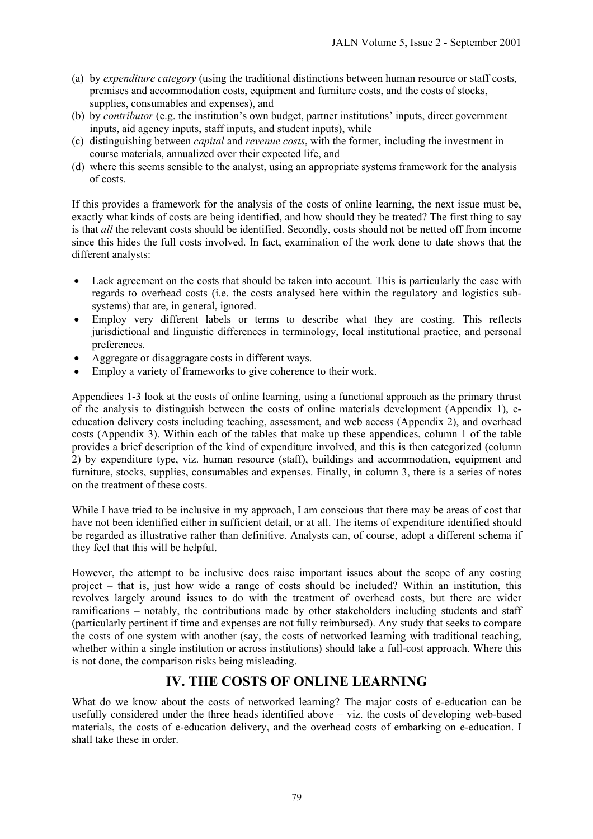- (a) by *expenditure category* (using the traditional distinctions between human resource or staff costs, premises and accommodation costs, equipment and furniture costs, and the costs of stocks, supplies, consumables and expenses), and
- (b) by *contributor* (e.g. the institution's own budget, partner institutions' inputs, direct government inputs, aid agency inputs, staff inputs, and student inputs), while
- (c) distinguishing between *capital* and *revenue costs*, with the former, including the investment in course materials, annualized over their expected life, and
- (d) where this seems sensible to the analyst, using an appropriate systems framework for the analysis of costs.

If this provides a framework for the analysis of the costs of online learning, the next issue must be, exactly what kinds of costs are being identified, and how should they be treated? The first thing to say is that *all* the relevant costs should be identified. Secondly, costs should not be netted off from income since this hides the full costs involved. In fact, examination of the work done to date shows that the different analysts:

- Lack agreement on the costs that should be taken into account. This is particularly the case with regards to overhead costs (i.e. the costs analysed here within the regulatory and logistics subsystems) that are, in general, ignored.
- Employ very different labels or terms to describe what they are costing. This reflects jurisdictional and linguistic differences in terminology, local institutional practice, and personal preferences.
- Aggregate or disaggragate costs in different ways.
- Employ a variety of frameworks to give coherence to their work.

Appendices 1-3 look at the costs of online learning, using a functional approach as the primary thrust of the analysis to distinguish between the costs of online materials development (Appendix 1), eeducation delivery costs including teaching, assessment, and web access (Appendix 2), and overhead costs (Appendix 3). Within each of the tables that make up these appendices, column 1 of the table provides a brief description of the kind of expenditure involved, and this is then categorized (column 2) by expenditure type, viz. human resource (staff), buildings and accommodation, equipment and furniture, stocks, supplies, consumables and expenses. Finally, in column 3, there is a series of notes on the treatment of these costs.

While I have tried to be inclusive in my approach, I am conscious that there may be areas of cost that have not been identified either in sufficient detail, or at all. The items of expenditure identified should be regarded as illustrative rather than definitive. Analysts can, of course, adopt a different schema if they feel that this will be helpful.

However, the attempt to be inclusive does raise important issues about the scope of any costing project – that is, just how wide a range of costs should be included? Within an institution, this revolves largely around issues to do with the treatment of overhead costs, but there are wider ramifications – notably, the contributions made by other stakeholders including students and staff (particularly pertinent if time and expenses are not fully reimbursed). Any study that seeks to compare the costs of one system with another (say, the costs of networked learning with traditional teaching, whether within a single institution or across institutions) should take a full-cost approach. Where this is not done, the comparison risks being misleading.

#### **IV. THE COSTS OF ONLINE LEARNING**

What do we know about the costs of networked learning? The major costs of e-education can be usefully considered under the three heads identified above – viz. the costs of developing web-based materials, the costs of e-education delivery, and the overhead costs of embarking on e-education. I shall take these in order.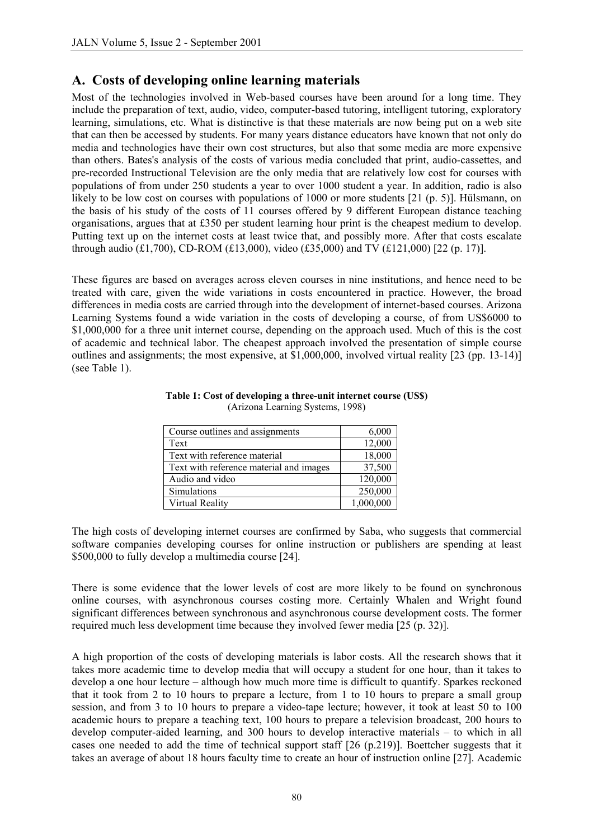#### **A. Costs of developing online learning materials**

Most of the technologies involved in Web-based courses have been around for a long time. They include the preparation of text, audio, video, computer-based tutoring, intelligent tutoring, exploratory learning, simulations, etc. What is distinctive is that these materials are now being put on a web site that can then be accessed by students. For many years distance educators have known that not only do media and technologies have their own cost structures, but also that some media are more expensive than others. Bates's analysis of the costs of various media concluded that print, audio-cassettes, and pre-recorded Instructional Television are the only media that are relatively low cost for courses with populations of from under 250 students a year to over 1000 student a year. In addition, radio is also likely to be low cost on courses with populations of 1000 or more students [21 (p. 5)]. Hülsmann, on the basis of his study of the costs of 11 courses offered by 9 different European distance teaching organisations, argues that at £350 per student learning hour print is the cheapest medium to develop. Putting text up on the internet costs at least twice that, and possibly more. After that costs escalate through audio (£1,700), CD-ROM (£13,000), video (£35,000) and TV (£121,000) [22 (p. 17)].

These figures are based on averages across eleven courses in nine institutions, and hence need to be treated with care, given the wide variations in costs encountered in practice. However, the broad differences in media costs are carried through into the development of internet-based courses. Arizona Learning Systems found a wide variation in the costs of developing a course, of from US\$6000 to \$1,000,000 for a three unit internet course, depending on the approach used. Much of this is the cost of academic and technical labor. The cheapest approach involved the presentation of simple course outlines and assignments; the most expensive, at \$1,000,000, involved virtual reality [23 (pp. 13-14)] (see Table 1).

| Course outlines and assignments         | 6,000     |
|-----------------------------------------|-----------|
| Text                                    | 12,000    |
| Text with reference material            | 18,000    |
| Text with reference material and images | 37,500    |
| Audio and video                         | 120,000   |
| Simulations                             | 250,000   |
| Virtual Reality                         | 1,000,000 |

#### **Table 1: Cost of developing a three-unit internet course (US\$)**  (Arizona Learning Systems, 1998)

The high costs of developing internet courses are confirmed by Saba, who suggests that commercial software companies developing courses for online instruction or publishers are spending at least \$500,000 to fully develop a multimedia course [24].

There is some evidence that the lower levels of cost are more likely to be found on synchronous online courses, with asynchronous courses costing more. Certainly Whalen and Wright found significant differences between synchronous and asynchronous course development costs. The former required much less development time because they involved fewer media [25 (p. 32)].

A high proportion of the costs of developing materials is labor costs. All the research shows that it takes more academic time to develop media that will occupy a student for one hour, than it takes to develop a one hour lecture – although how much more time is difficult to quantify. Sparkes reckoned that it took from 2 to 10 hours to prepare a lecture, from 1 to 10 hours to prepare a small group session, and from 3 to 10 hours to prepare a video-tape lecture; however, it took at least 50 to 100 academic hours to prepare a teaching text, 100 hours to prepare a television broadcast, 200 hours to develop computer-aided learning, and 300 hours to develop interactive materials – to which in all cases one needed to add the time of technical support staff [26 (p.219)]. Boettcher suggests that it takes an average of about 18 hours faculty time to create an hour of instruction online [27]. Academic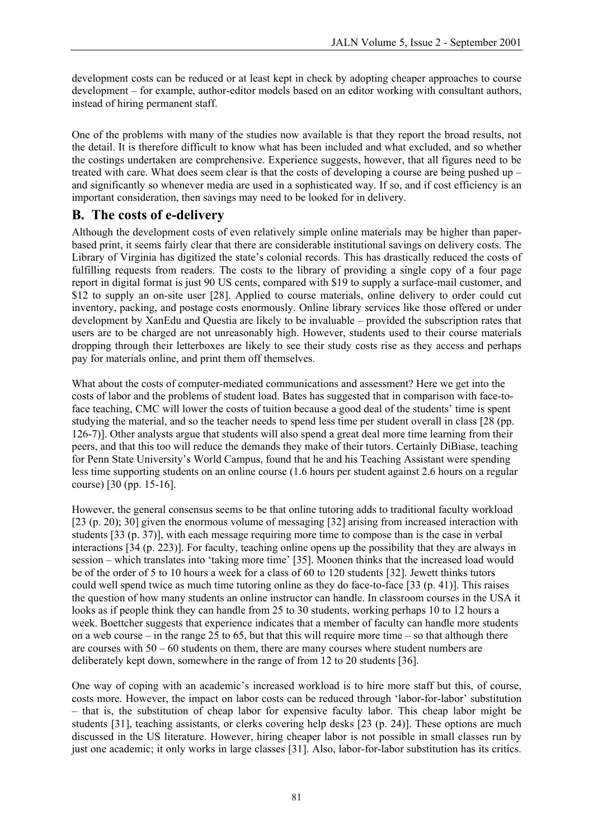development costs can be reduced or at least kept in check by adopting cheaper approaches to course development – for example, author-editor models based on an editor working with consultant authors, instead of hiring permanent staff.

One of the problems with many of the studies now available is that they report the broad results, not the detail. It is therefore difficult to know what has been included and what excluded, and so whether the costings undertaken are comprehensive. Experience suggests, however, that all figures need to be treated with care. What does seem clear is that the costs of developing a course are being pushed up – and significantly so whenever media are used in a sophisticated way. If so, and if cost efficiency is an important consideration, then savings may need to be looked for in delivery.

#### **B. The costs of e-delivery**

Although the development costs of even relatively simple online materials may be higher than paperbased print, it seems fairly clear that there are considerable institutional savings on delivery costs. The Library of Virginia has digitized the state's colonial records. This has drastically reduced the costs of fulfilling requests from readers. The costs to the library of providing a single copy of a four page report in digital format is just 90 US cents, compared with \$19 to supply a surface-mail customer, and \$12 to supply an on-site user [28]. Applied to course materials, online delivery to order could cut inventory, packing, and postage costs enormously. Online library services like those offered or under development by XanEdu and Questia are likely to be invaluable – provided the subscription rates that users are to be charged are not unreasonably high. However, students used to their course materials dropping through their letterboxes are likely to see their study costs rise as they access and perhaps pay for materials online, and print them off themselves.

What about the costs of computer-mediated communications and assessment? Here we get into the costs of labor and the problems of student load. Bates has suggested that in comparison with face-toface teaching, CMC will lower the costs of tuition because a good deal of the students' time is spent studying the material, and so the teacher needs to spend less time per student overall in class [28 (pp. 126-7)]. Other analysts argue that students will also spend a great deal more time learning from their peers, and that this too will reduce the demands they make of their tutors. Certainly DiBiase, teaching for Penn State University's World Campus, found that he and his Teaching Assistant were spending less time supporting students on an online course (1.6 hours per student against 2.6 hours on a regular course) [30 (pp. 15-16].

However, the general consensus seems to be that online tutoring adds to traditional faculty workload [23 (p. 20); 30] given the enormous volume of messaging [32] arising from increased interaction with students [33 (p. 37)], with each message requiring more time to compose than is the case in verbal interactions [34 (p. 223)]. For faculty, teaching online opens up the possibility that they are always in session – which translates into 'taking more time' [35]. Moonen thinks that the increased load would be of the order of 5 to 10 hours a week for a class of 60 to 120 students [32]. Jewett thinks tutors could well spend twice as much time tutoring online as they do face-to-face [33 (p. 41)]. This raises the question of how many students an online instructor can handle. In classroom courses in the USA it looks as if people think they can handle from 25 to 30 students, working perhaps 10 to 12 hours a week. Boettcher suggests that experience indicates that a member of faculty can handle more students on a web course – in the range 25 to 65, but that this will require more time – so that although there are courses with 50 – 60 students on them, there are many courses where student numbers are deliberately kept down, somewhere in the range of from 12 to 20 students [36].

One way of coping with an academic's increased workload is to hire more staff but this, of course, costs more. However, the impact on labor costs can be reduced through 'labor-for-labor' substitution – that is, the substitution of cheap labor for expensive faculty labor. This cheap labor might be students [31], teaching assistants, or clerks covering help desks [23 (p. 24)]. These options are much discussed in the US literature. However, hiring cheaper labor is not possible in small classes run by just one academic; it only works in large classes [31]. Also, labor-for-labor substitution has its critics.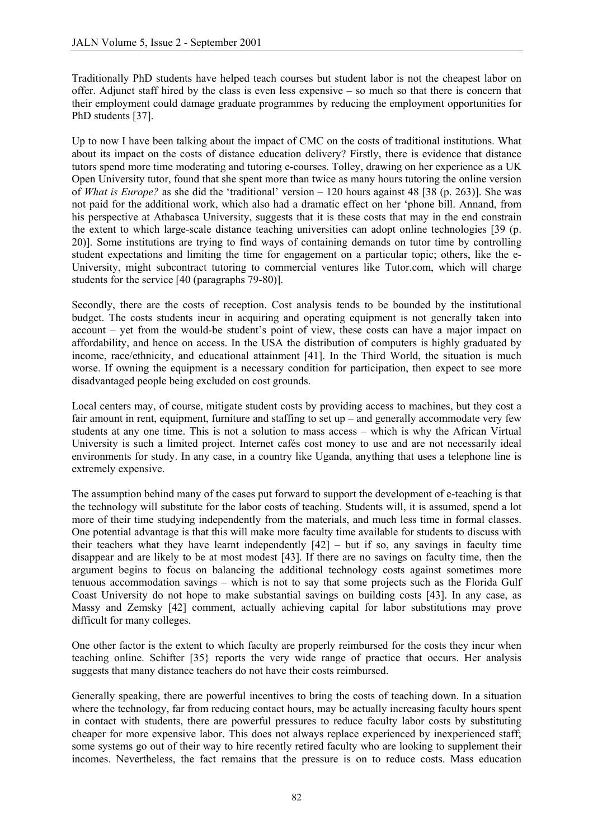Traditionally PhD students have helped teach courses but student labor is not the cheapest labor on offer. Adjunct staff hired by the class is even less expensive – so much so that there is concern that their employment could damage graduate programmes by reducing the employment opportunities for PhD students [37].

Up to now I have been talking about the impact of CMC on the costs of traditional institutions. What about its impact on the costs of distance education delivery? Firstly, there is evidence that distance tutors spend more time moderating and tutoring e-courses. Tolley, drawing on her experience as a UK Open University tutor, found that she spent more than twice as many hours tutoring the online version of *What is Europe?* as she did the 'traditional' version – 120 hours against 48 [38 (p. 263)]. She was not paid for the additional work, which also had a dramatic effect on her 'phone bill. Annand, from his perspective at Athabasca University, suggests that it is these costs that may in the end constrain the extent to which large-scale distance teaching universities can adopt online technologies [39 (p. 20)]. Some institutions are trying to find ways of containing demands on tutor time by controlling student expectations and limiting the time for engagement on a particular topic; others, like the e-University, might subcontract tutoring to commercial ventures like Tutor.com, which will charge students for the service [40 (paragraphs 79-80)].

Secondly, there are the costs of reception. Cost analysis tends to be bounded by the institutional budget. The costs students incur in acquiring and operating equipment is not generally taken into account – yet from the would-be student's point of view, these costs can have a major impact on affordability, and hence on access. In the USA the distribution of computers is highly graduated by income, race/ethnicity, and educational attainment [41]. In the Third World, the situation is much worse. If owning the equipment is a necessary condition for participation, then expect to see more disadvantaged people being excluded on cost grounds.

Local centers may, of course, mitigate student costs by providing access to machines, but they cost a fair amount in rent, equipment, furniture and staffing to set up – and generally accommodate very few students at any one time. This is not a solution to mass access – which is why the African Virtual University is such a limited project. Internet cafés cost money to use and are not necessarily ideal environments for study. In any case, in a country like Uganda, anything that uses a telephone line is extremely expensive.

The assumption behind many of the cases put forward to support the development of e-teaching is that the technology will substitute for the labor costs of teaching. Students will, it is assumed, spend a lot more of their time studying independently from the materials, and much less time in formal classes. One potential advantage is that this will make more faculty time available for students to discuss with their teachers what they have learnt independently  $[42]$  – but if so, any savings in faculty time disappear and are likely to be at most modest [43]. If there are no savings on faculty time, then the argument begins to focus on balancing the additional technology costs against sometimes more tenuous accommodation savings – which is not to say that some projects such as the Florida Gulf Coast University do not hope to make substantial savings on building costs [43]. In any case, as Massy and Zemsky [42] comment, actually achieving capital for labor substitutions may prove difficult for many colleges.

One other factor is the extent to which faculty are properly reimbursed for the costs they incur when teaching online. Schifter [35} reports the very wide range of practice that occurs. Her analysis suggests that many distance teachers do not have their costs reimbursed.

Generally speaking, there are powerful incentives to bring the costs of teaching down. In a situation where the technology, far from reducing contact hours, may be actually increasing faculty hours spent in contact with students, there are powerful pressures to reduce faculty labor costs by substituting cheaper for more expensive labor. This does not always replace experienced by inexperienced staff; some systems go out of their way to hire recently retired faculty who are looking to supplement their incomes. Nevertheless, the fact remains that the pressure is on to reduce costs. Mass education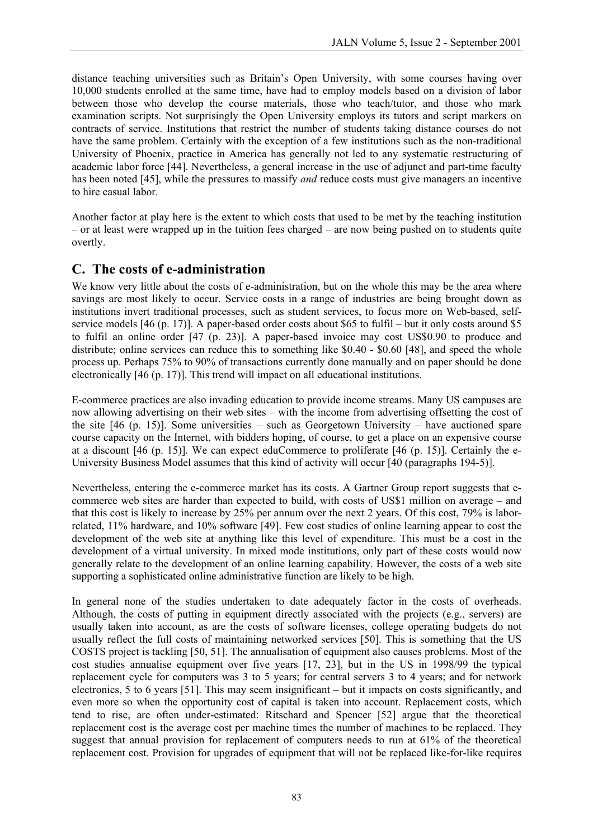distance teaching universities such as Britain's Open University, with some courses having over 10,000 students enrolled at the same time, have had to employ models based on a division of labor between those who develop the course materials, those who teach/tutor, and those who mark examination scripts. Not surprisingly the Open University employs its tutors and script markers on contracts of service. Institutions that restrict the number of students taking distance courses do not have the same problem. Certainly with the exception of a few institutions such as the non-traditional University of Phoenix, practice in America has generally not led to any systematic restructuring of academic labor force [44]. Nevertheless, a general increase in the use of adjunct and part-time faculty has been noted [45], while the pressures to massify *and* reduce costs must give managers an incentive to hire casual labor.

Another factor at play here is the extent to which costs that used to be met by the teaching institution – or at least were wrapped up in the tuition fees charged – are now being pushed on to students quite overtly.

#### **C. The costs of e-administration**

We know very little about the costs of e-administration, but on the whole this may be the area where savings are most likely to occur. Service costs in a range of industries are being brought down as institutions invert traditional processes, such as student services, to focus more on Web-based, selfservice models [46 (p. 17)]. A paper-based order costs about \$65 to fulfil – but it only costs around \$5 to fulfil an online order [47 (p. 23)]. A paper-based invoice may cost US\$0.90 to produce and distribute; online services can reduce this to something like \$0.40 - \$0.60 [48], and speed the whole process up. Perhaps 75% to 90% of transactions currently done manually and on paper should be done electronically [46 (p. 17)]. This trend will impact on all educational institutions.

E-commerce practices are also invading education to provide income streams. Many US campuses are now allowing advertising on their web sites – with the income from advertising offsetting the cost of the site [46 (p. 15)]. Some universities – such as Georgetown University – have auctioned spare course capacity on the Internet, with bidders hoping, of course, to get a place on an expensive course at a discount [46 (p. 15)]. We can expect eduCommerce to proliferate [46 (p. 15)]. Certainly the e-University Business Model assumes that this kind of activity will occur [40 (paragraphs 194-5)].

Nevertheless, entering the e-commerce market has its costs. A Gartner Group report suggests that ecommerce web sites are harder than expected to build, with costs of US\$1 million on average – and that this cost is likely to increase by 25% per annum over the next 2 years. Of this cost, 79% is laborrelated, 11% hardware, and 10% software [49]. Few cost studies of online learning appear to cost the development of the web site at anything like this level of expenditure. This must be a cost in the development of a virtual university. In mixed mode institutions, only part of these costs would now generally relate to the development of an online learning capability. However, the costs of a web site supporting a sophisticated online administrative function are likely to be high.

In general none of the studies undertaken to date adequately factor in the costs of overheads. Although, the costs of putting in equipment directly associated with the projects (e.g., servers) are usually taken into account, as are the costs of software licenses, college operating budgets do not usually reflect the full costs of maintaining networked services [50]. This is something that the US COSTS project is tackling [50, 51]. The annualisation of equipment also causes problems. Most of the cost studies annualise equipment over five years [17, 23], but in the US in 1998/99 the typical replacement cycle for computers was 3 to 5 years; for central servers 3 to 4 years; and for network electronics, 5 to 6 years [51]. This may seem insignificant – but it impacts on costs significantly, and even more so when the opportunity cost of capital is taken into account. Replacement costs, which tend to rise, are often under-estimated: Ritschard and Spencer [52] argue that the theoretical replacement cost is the average cost per machine times the number of machines to be replaced. They suggest that annual provision for replacement of computers needs to run at 61% of the theoretical replacement cost. Provision for upgrades of equipment that will not be replaced like-for-like requires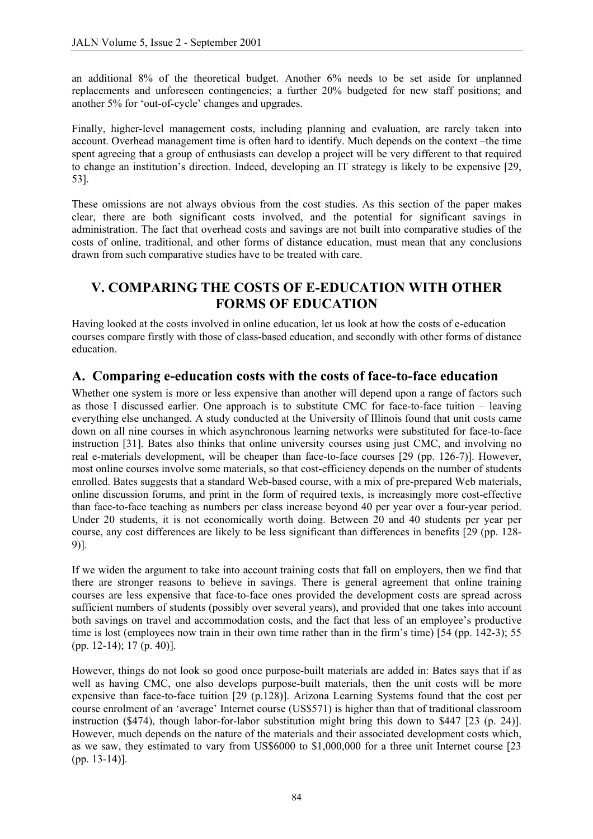an additional 8% of the theoretical budget. Another 6% needs to be set aside for unplanned replacements and unforeseen contingencies; a further 20% budgeted for new staff positions; and another 5% for 'out-of-cycle' changes and upgrades.

Finally, higher-level management costs, including planning and evaluation, are rarely taken into account. Overhead management time is often hard to identify. Much depends on the context –the time spent agreeing that a group of enthusiasts can develop a project will be very different to that required to change an institution's direction. Indeed, developing an IT strategy is likely to be expensive [29, 53].

These omissions are not always obvious from the cost studies. As this section of the paper makes clear, there are both significant costs involved, and the potential for significant savings in administration. The fact that overhead costs and savings are not built into comparative studies of the costs of online, traditional, and other forms of distance education, must mean that any conclusions drawn from such comparative studies have to be treated with care.

### **V. COMPARING THE COSTS OF E-EDUCATION WITH OTHER FORMS OF EDUCATION**

Having looked at the costs involved in online education, let us look at how the costs of e-education courses compare firstly with those of class-based education, and secondly with other forms of distance education.

#### **A. Comparing e-education costs with the costs of face-to-face education**

Whether one system is more or less expensive than another will depend upon a range of factors such as those I discussed earlier. One approach is to substitute CMC for face-to-face tuition – leaving everything else unchanged. A study conducted at the University of Illinois found that unit costs came down on all nine courses in which asynchronous learning networks were substituted for face-to-face instruction [31]. Bates also thinks that online university courses using just CMC, and involving no real e-materials development, will be cheaper than face-to-face courses [29 (pp. 126-7)]. However, most online courses involve some materials, so that cost-efficiency depends on the number of students enrolled. Bates suggests that a standard Web-based course, with a mix of pre-prepared Web materials, online discussion forums, and print in the form of required texts, is increasingly more cost-effective than face-to-face teaching as numbers per class increase beyond 40 per year over a four-year period. Under 20 students, it is not economically worth doing. Between 20 and 40 students per year per course, any cost differences are likely to be less significant than differences in benefits [29 (pp. 128- 9)].

If we widen the argument to take into account training costs that fall on employers, then we find that there are stronger reasons to believe in savings. There is general agreement that online training courses are less expensive that face-to-face ones provided the development costs are spread across sufficient numbers of students (possibly over several years), and provided that one takes into account both savings on travel and accommodation costs, and the fact that less of an employee's productive time is lost (employees now train in their own time rather than in the firm's time) [54 (pp. 142-3); 55 (pp. 12-14); 17 (p. 40)].

However, things do not look so good once purpose-built materials are added in: Bates says that if as well as having CMC, one also develops purpose-built materials, then the unit costs will be more expensive than face-to-face tuition [29 (p.128)]. Arizona Learning Systems found that the cost per course enrolment of an 'average' Internet course (US\$571) is higher than that of traditional classroom instruction (\$474), though labor-for-labor substitution might bring this down to \$447 [23 (p. 24)]. However, much depends on the nature of the materials and their associated development costs which, as we saw, they estimated to vary from US\$6000 to \$1,000,000 for a three unit Internet course [23 (pp. 13-14)].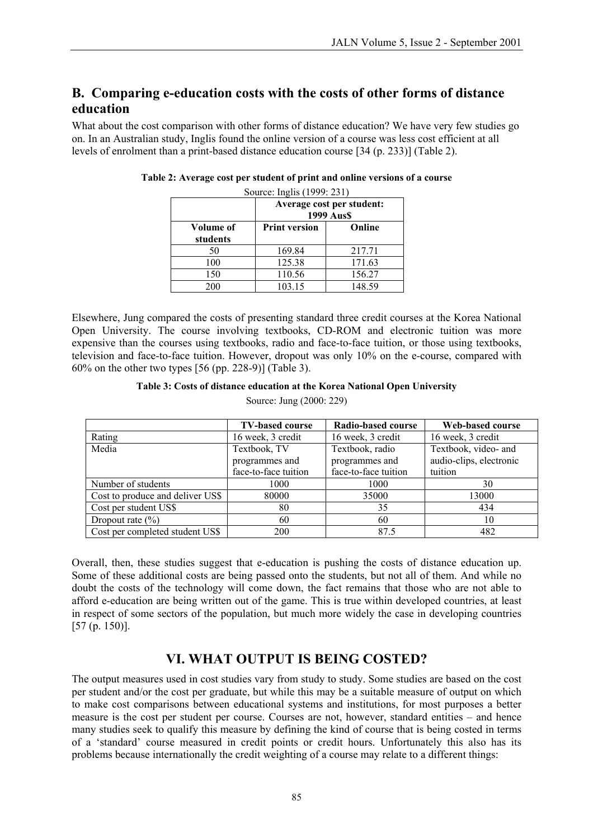### **B. Comparing e-education costs with the costs of other forms of distance education**

What about the cost comparison with other forms of distance education? We have very few studies go on. In an Australian study, Inglis found the online version of a course was less cost efficient at all levels of enrolment than a print-based distance education course [34 (p. 233)] (Table 2).

|                       | Average cost per student:<br>1999 Aus\$ |        |  |
|-----------------------|-----------------------------------------|--------|--|
| Volume of<br>students | <b>Print version</b>                    | Online |  |
| 50                    | 169.84                                  | 217.71 |  |
| 100                   | 125.38                                  | 171.63 |  |
| 150                   | 110.56                                  | 156.27 |  |
| 200                   | 103.15                                  | 148.59 |  |

| Table 2: Average cost per student of print and online versions of a course |  |
|----------------------------------------------------------------------------|--|
|----------------------------------------------------------------------------|--|

Source: Inglis (1999: 231)

Elsewhere, Jung compared the costs of presenting standard three credit courses at the Korea National Open University. The course involving textbooks, CD-ROM and electronic tuition was more expensive than the courses using textbooks, radio and face-to-face tuition, or those using textbooks, television and face-to-face tuition. However, dropout was only 10% on the e-course, compared with 60% on the other two types [56 (pp. 228-9)] (Table 3).

#### **Table 3: Costs of distance education at the Korea National Open University**

|                                  | <b>TV-based course</b> | Radio-based course   | Web-based course        |
|----------------------------------|------------------------|----------------------|-------------------------|
| Rating                           | 16 week, 3 credit      | 16 week, 3 credit    | 16 week, 3 credit       |
| Media                            | Textbook, TV           | Textbook, radio      | Textbook, video- and    |
|                                  | programmes and         | programmes and       | audio-clips, electronic |
|                                  | face-to-face tuition   | face-to-face tuition | tuition                 |
| Number of students               | 1000                   | 1000                 | 30                      |
| Cost to produce and deliver US\$ | 80000                  | 35000                | 13000                   |
| Cost per student US\$            | 80                     | 35                   | 434                     |
| Dropout rate $(\% )$             | 60                     | 60                   | 10                      |
| Cost per completed student US\$  | 200                    | 87.5                 | 482                     |

Source: Jung (2000: 229)

Overall, then, these studies suggest that e-education is pushing the costs of distance education up. Some of these additional costs are being passed onto the students, but not all of them. And while no doubt the costs of the technology will come down, the fact remains that those who are not able to afford e-education are being written out of the game. This is true within developed countries, at least in respect of some sectors of the population, but much more widely the case in developing countries [57 (p. 150)].

#### **VI. WHAT OUTPUT IS BEING COSTED?**

The output measures used in cost studies vary from study to study. Some studies are based on the cost per student and/or the cost per graduate, but while this may be a suitable measure of output on which to make cost comparisons between educational systems and institutions, for most purposes a better measure is the cost per student per course. Courses are not, however, standard entities – and hence many studies seek to qualify this measure by defining the kind of course that is being costed in terms of a 'standard' course measured in credit points or credit hours. Unfortunately this also has its problems because internationally the credit weighting of a course may relate to a different things: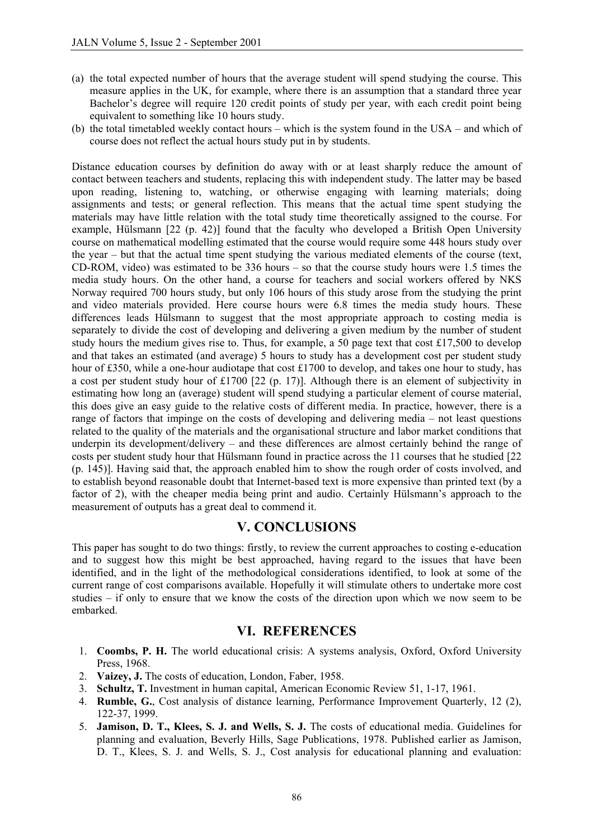- (a) the total expected number of hours that the average student will spend studying the course. This measure applies in the UK, for example, where there is an assumption that a standard three year Bachelor's degree will require 120 credit points of study per year, with each credit point being equivalent to something like 10 hours study.
- (b) the total timetabled weekly contact hours which is the system found in the USA and which of course does not reflect the actual hours study put in by students.

Distance education courses by definition do away with or at least sharply reduce the amount of contact between teachers and students, replacing this with independent study. The latter may be based upon reading, listening to, watching, or otherwise engaging with learning materials; doing assignments and tests; or general reflection. This means that the actual time spent studying the materials may have little relation with the total study time theoretically assigned to the course. For example, Hülsmann [22 (p. 42)] found that the faculty who developed a British Open University course on mathematical modelling estimated that the course would require some 448 hours study over the year – but that the actual time spent studying the various mediated elements of the course (text, CD-ROM, video) was estimated to be 336 hours – so that the course study hours were 1.5 times the media study hours. On the other hand, a course for teachers and social workers offered by NKS Norway required 700 hours study, but only 106 hours of this study arose from the studying the print and video materials provided. Here course hours were 6.8 times the media study hours. These differences leads Hülsmann to suggest that the most appropriate approach to costing media is separately to divide the cost of developing and delivering a given medium by the number of student study hours the medium gives rise to. Thus, for example, a 50 page text that cost £17,500 to develop and that takes an estimated (and average) 5 hours to study has a development cost per student study hour of £350, while a one-hour audiotape that cost £1700 to develop, and takes one hour to study, has a cost per student study hour of £1700 [22 (p. 17)]. Although there is an element of subjectivity in estimating how long an (average) student will spend studying a particular element of course material, this does give an easy guide to the relative costs of different media. In practice, however, there is a range of factors that impinge on the costs of developing and delivering media – not least questions related to the quality of the materials and the organisational structure and labor market conditions that underpin its development/delivery – and these differences are almost certainly behind the range of costs per student study hour that Hülsmann found in practice across the 11 courses that he studied [22 (p. 145)]. Having said that, the approach enabled him to show the rough order of costs involved, and to establish beyond reasonable doubt that Internet-based text is more expensive than printed text (by a factor of 2), with the cheaper media being print and audio. Certainly Hülsmann's approach to the measurement of outputs has a great deal to commend it.

#### **V. CONCLUSIONS**

This paper has sought to do two things: firstly, to review the current approaches to costing e-education and to suggest how this might be best approached, having regard to the issues that have been identified, and in the light of the methodological considerations identified, to look at some of the current range of cost comparisons available. Hopefully it will stimulate others to undertake more cost studies – if only to ensure that we know the costs of the direction upon which we now seem to be embarked.

#### **VI. REFERENCES**

- **Coombs, P. H.** The world educational crisis: A systems analysis, Oxford, Oxford University 1. Press, 1968.
- 2. **Vaizey, J.** The costs of education, London, Faber, 1958.
- 3. **Schultz, T.** Investment in human capital, American Economic Review 51, 1-17, 1961.
- 4. **Rumble, G.**, Cost analysis of distance learning, Performance Improvement Quarterly, 12 (2), 122-37, 1999.
- 5. **Jamison, D. T., Klees, S. J. and Wells, S. J.** The costs of educational media. Guidelines for planning and evaluation, Beverly Hills, Sage Publications, 1978. Published earlier as Jamison, D. T., Klees, S. J. and Wells, S. J., Cost analysis for educational planning and evaluation: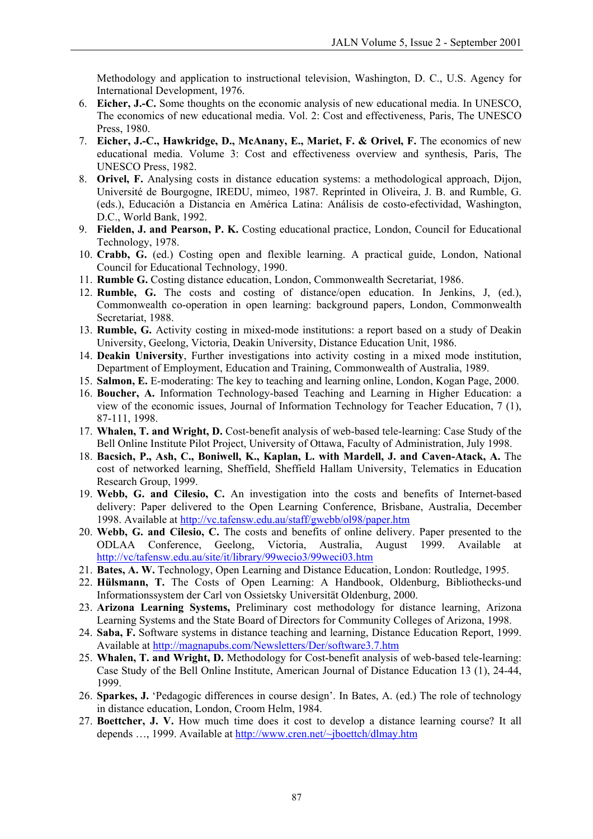Methodology and application to instructional television, Washington, D. C., U.S. Agency for International Development, 1976.

- **Eicher, J.-C.** Some thoughts on the economic analysis of new educational media. In UNESCO, 6. The economics of new educational media. Vol. 2: Cost and effectiveness, Paris, The UNESCO Press, 1980.
- 7. **Eicher, J.-C., Hawkridge, D., McAnany, E., Mariet, F. & Orivel, F.** The economics of new educational media. Volume 3: Cost and effectiveness overview and synthesis, Paris, The UNESCO Press, 1982.
- 8. **Orivel, F.** Analysing costs in distance education systems: a methodological approach, Dijon, Université de Bourgogne, IREDU, mimeo, 1987. Reprinted in Oliveira, J. B. and Rumble, G. (eds.), Educación a Distancia en América Latina: Análisis de costo-efectividad, Washington, D.C., World Bank, 1992.
- 9. **Fielden, J. and Pearson, P. K.** Costing educational practice, London, Council for Educational Technology, 1978.
- 10. **Crabb, G.** (ed.) Costing open and flexible learning. A practical guide, London, National Council for Educational Technology, 1990.
- 11. **Rumble G.** Costing distance education, London, Commonwealth Secretariat, 1986.
- 12. **Rumble, G.** The costs and costing of distance/open education. In Jenkins, J, (ed.), Commonwealth co-operation in open learning: background papers, London, Commonwealth Secretariat, 1988.
- 13. **Rumble, G.** Activity costing in mixed-mode institutions: a report based on a study of Deakin University, Geelong, Victoria, Deakin University, Distance Education Unit, 1986.
- 14. **Deakin University**, Further investigations into activity costing in a mixed mode institution, Department of Employment, Education and Training, Commonwealth of Australia, 1989.
- 15. **Salmon, E.** E-moderating: The key to teaching and learning online, London, Kogan Page, 2000.
- 16. **Boucher, A.** Information Technology-based Teaching and Learning in Higher Education: a view of the economic issues, Journal of Information Technology for Teacher Education, 7 (1), 87-111, 1998.
- 17. **Whalen, T. and Wright, D.** Cost-benefit analysis of web-based tele-learning: Case Study of the Bell Online Institute Pilot Project, University of Ottawa, Faculty of Administration, July 1998.
- 18. **Bacsich, P., Ash, C., Boniwell, K., Kaplan, L. with Mardell, J. and Caven-Atack, A.** The cost of networked learning, Sheffield, Sheffield Hallam University, Telematics in Education Research Group, 1999.
- 19. **Webb, G. and Cilesio, C.** An investigation into the costs and benefits of Internet-based delivery: Paper delivered to the Open Learning Conference, Brisbane, Australia, December 1998. Available at <http://vc.tafensw.edu.au/staff/gwebb/ol98/paper.htm>
- **Webb, G. and Cilesio, C.** The costs and benefits of online delivery. Paper presented to the 20. ODLAA Conference, Geelong, Victoria, Australia, August 1999. Available at <http://vc/tafensw.edu.au/site/it/library/99wecio3/99weci03.htm>
- 21. **Bates, A. W.** Technology, Open Learning and Distance Education, London: Routledge, 1995.
- 22. **Hülsmann, T.** The Costs of Open Learning: A Handbook, Oldenburg, Bibliothecks-und Informationssystem der Carl von Ossietsky Universität Oldenburg, 2000.
- 23. **Arizona Learning Systems,** Preliminary cost methodology for distance learning, Arizona Learning Systems and the State Board of Directors for Community Colleges of Arizona, 1998.
- 24. **Saba, F.** Software systems in distance teaching and learning, Distance Education Report, 1999. Available at<http://magnapubs.com/Newsletters/Der/software3.7.htm>
- **Whalen, T. and Wright, D.** Methodology for Cost-benefit analysis of web-based tele-learning: 25. Case Study of the Bell Online Institute, American Journal of Distance Education 13 (1), 24-44, 1999.
- 26. **Sparkes, J.** 'Pedagogic differences in course design'. In Bates, A. (ed.) The role of technology in distance education, London, Croom Helm, 1984.
- 27. **Boettcher, J. V.** How much time does it cost to develop a distance learning course? It all depends …, 1999. Available at<http://www.cren.net/~jboettch/dlmay.htm>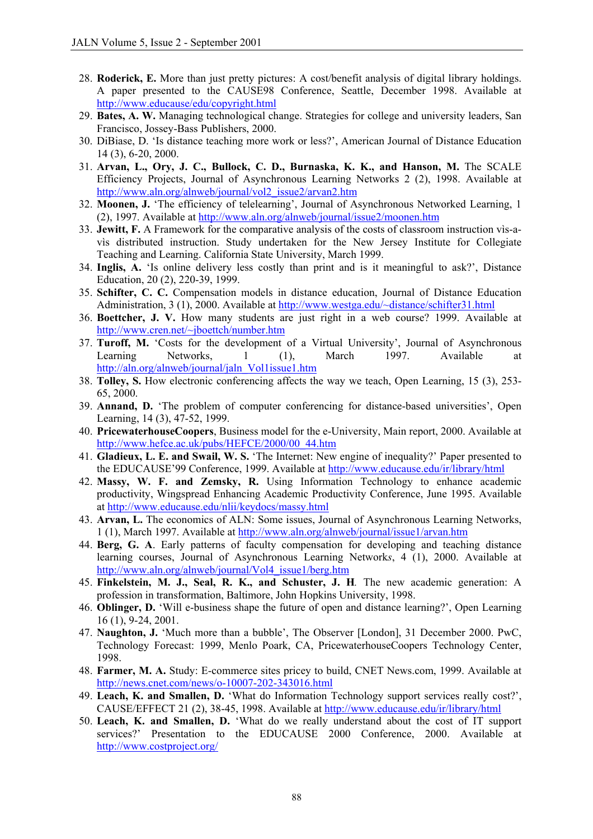- **Roderick, E.** More than just pretty pictures: A cost/benefit analysis of digital library holdings. 28. A paper presented to the CAUSE98 Conference, Seattle, December 1998. Available at <http://www.educause/edu/copyright.html>
- **Bates, A. W.** Managing technological change. Strategies for college and university leaders, San 29. Francisco, Jossey-Bass Publishers, 2000.
- 30. DiBiase, D. 'Is distance teaching more work or less?', American Journal of Distance Education 14 (3), 6-20, 2000.
- 31. **Arvan, L., Ory, J. C., Bullock, C. D., Burnaska, K. K., and Hanson, M.** The SCALE Efficiency Projects, Journal of Asynchronous Learning Networks 2 (2), 1998. Available at [http://www.aln.org/alnweb/journal/vol2\\_issue2/arvan2.htm](http://www.aln.org/alnweb/journal/vol2_issue2/arvan2.htm)
- 32. Moonen, J. 'The efficiency of telelearning', Journal of Asynchronous Networked Learning, 1 (2), 1997. Available at<http://www.aln.org/alnweb/journal/issue2/moonen.htm>
- **Jewitt, F.** A Framework for the comparative analysis of the costs of classroom instruction vìs-a-33. vìs distributed instruction. Study undertaken for the New Jersey Institute for Collegiate Teaching and Learning. California State University, March 1999.
- 34. **Inglis, A.** 'Is online delivery less costly than print and is it meaningful to ask?', Distance Education, 20 (2), 220-39, 1999.
- 35. **Schifter, C. C.** Compensation models in distance education, Journal of Distance Education Administration, 3 (1), 2000. Available at <http://www.westga.edu/~distance/schifter31.html>
- **Boettcher, J. V.** How many students are just right in a web course? 1999. Available at 36. <http://www.cren.net/~jboettch/number.htm>
- 37. Turoff, M. 'Costs for the development of a Virtual University', Journal of Asynchronous Learning Networks, 1 (1), March 1997. Available at [http://aln.org/alnweb/journal/jaln\\_Vol1issue1.htm](http://aln.org/alnweb/journal/jaln_Vol1issue1.htm)
- 38. Tolley, S. How electronic conferencing affects the way we teach, Open Learning, 15 (3), 253-65, 2000.
- 39. **Annand, D.** 'The problem of computer conferencing for distance-based universities', Open Learning, 14 (3), 47-52, 1999.
- 40. **PricewaterhouseCoopers**, Business model for the e-University, Main report, 2000. Available at [http://www.hefce.ac.uk/pubs/HEFCE/2000/00\\_44.htm](http://www.hefce.ac.uk/?pubs/HEFCE/2000?00_44.htm)
- **Gladieux, L. E. and Swail, W. S.** 'The Internet: New engine of inequality?' Paper presented to 41. the EDUCAUSE'99 Conference, 1999. Available at<http://www.educause.edu/ir/library/html>
- **Massy, W. F. and Zemsky, R.** Using Information Technology to enhance academic 42. productivity, Wingspread Enhancing Academic Productivity Conference, June 1995. Available at <http://www.educause.edu/nlii/keydocs/massy.html>
- **Arvan, L.** The economics of ALN: Some issues, Journal of Asynchronous Learning Networks, 43. 1 (1), March 1997. Available at <http://www.aln.org/alnweb/journal/issue1/arvan.htm>
- **Berg, G. A**. Early patterns of faculty compensation for developing and teaching distance 44. learning courses, Journal of Asynchronous Learning Network*s*, 4 (1), 2000. Available at [http://www.aln.org/alnweb/journal/Vol4\\_issue1/berg.htm](http://www.aln.org/alnweb/journal/Vol4_issue1/berg.htm)
- **Finkelstein, M. J., Seal, R. K., and Schuster, J. H***.* The new academic generation: A 45. profession in transformation, Baltimore, John Hopkins University, 1998.
- 46. **Oblinger, D.** 'Will e-business shape the future of open and distance learning?', Open Learning 16 (1), 9-24, 2001.
- 47. **Naughton, J.** 'Much more than a bubble', The Observer [London], 31 December 2000. PwC, Technology Forecast: 1999, Menlo Poark, CA, PricewaterhouseCoopers Technology Center, 1998.
- 48. **Farmer, M. A.** Study: E-commerce sites pricey to build, CNET News.com, 1999. Available at <http://news.cnet.com/news/o-10007-202-343016.html>
- **Leach, K. and Smallen, D.** 'What do Information Technology support services really cost?', 49. CAUSE/EFFECT 21 (2), 38-45, 1998. Available at <http://www.educause.edu/ir/library/html>
- **Leach, K. and Smallen, D.** 'What do we really understand about the cost of IT support 50. services?' Presentation to the EDUCAUSE 2000 Conference, 2000. Available at <http://www.costproject.org/>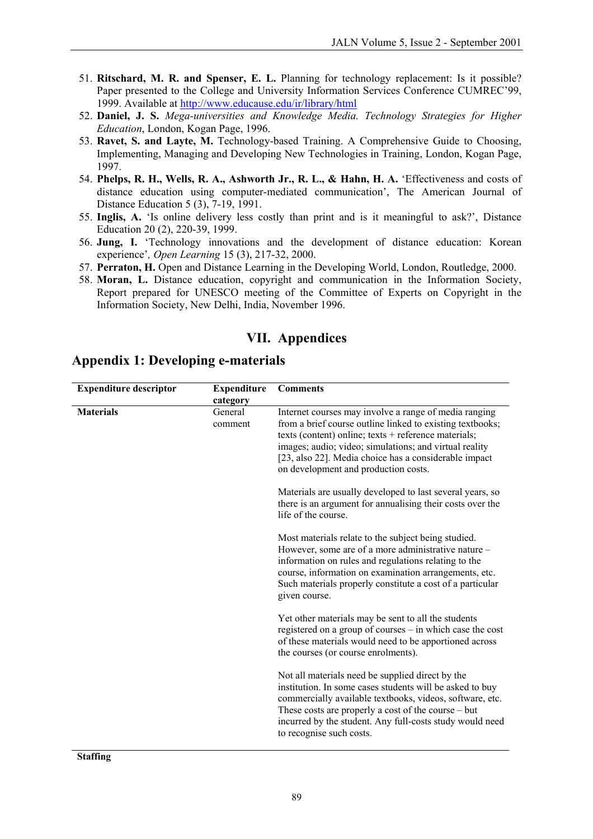- 51. Ritschard, M. R. and Spenser, E. L. Planning for technology replacement: Is it possible? Paper presented to the College and University Information Services Conference CUMREC'99, 1999. Available at <http://www.educause.edu/ir/library/html>
- **Daniel, J. S.** *Mega-universities and Knowledge Media. Technology Strategies for Higher*  52. *Education*, London, Kogan Page, 1996.
- 53. **Ravet, S. and Layte, M.** Technology-based Training. A Comprehensive Guide to Choosing, Implementing, Managing and Developing New Technologies in Training, London, Kogan Page, 1997.
- 54. **Phelps, R. H., Wells, R. A., Ashworth Jr., R. L., & Hahn, H. A.** 'Effectiveness and costs of distance education using computer-mediated communication', The American Journal of Distance Education 5 (3), 7-19, 1991.
- 55. **Inglis, A.** 'Is online delivery less costly than print and is it meaningful to ask?', Distance Education 20 (2), 220-39, 1999.
- 56. **Jung, I.** 'Technology innovations and the development of distance education: Korean experience'*, Open Learning* 15 (3), 217-32, 2000.
- 57. **Perraton, H.** Open and Distance Learning in the Developing World, London, Routledge, 2000.
- 58. **Moran, L.** Distance education, copyright and communication in the Information Society, Report prepared for UNESCO meeting of the Committee of Experts on Copyright in the Information Society, New Delhi, India, November 1996.

#### **VII. Appendices**

| <b>Expenditure descriptor</b> | <b>Expenditure</b><br>category | <b>Comments</b>                                                                                                                                                                                                                                                                                                                       |
|-------------------------------|--------------------------------|---------------------------------------------------------------------------------------------------------------------------------------------------------------------------------------------------------------------------------------------------------------------------------------------------------------------------------------|
| <b>Materials</b>              | General<br>comment             | Internet courses may involve a range of media ranging<br>from a brief course outline linked to existing textbooks;<br>texts (content) online; texts + reference materials;<br>images; audio; video; simulations; and virtual reality<br>[23, also 22]. Media choice has a considerable impact<br>on development and production costs. |
|                               |                                | Materials are usually developed to last several years, so<br>there is an argument for annualising their costs over the<br>life of the course.                                                                                                                                                                                         |
|                               |                                | Most materials relate to the subject being studied.<br>However, some are of a more administrative nature -<br>information on rules and regulations relating to the<br>course, information on examination arrangements, etc.<br>Such materials properly constitute a cost of a particular<br>given course.                             |
|                               |                                | Yet other materials may be sent to all the students<br>registered on a group of courses – in which case the cost<br>of these materials would need to be apportioned across<br>the courses (or course enrolments).                                                                                                                     |
|                               |                                | Not all materials need be supplied direct by the<br>institution. In some cases students will be asked to buy<br>commercially available textbooks, videos, software, etc.<br>These costs are properly a cost of the course – but<br>incurred by the student. Any full-costs study would need<br>to recognise such costs.               |

#### **Appendix 1: Developing e-materials**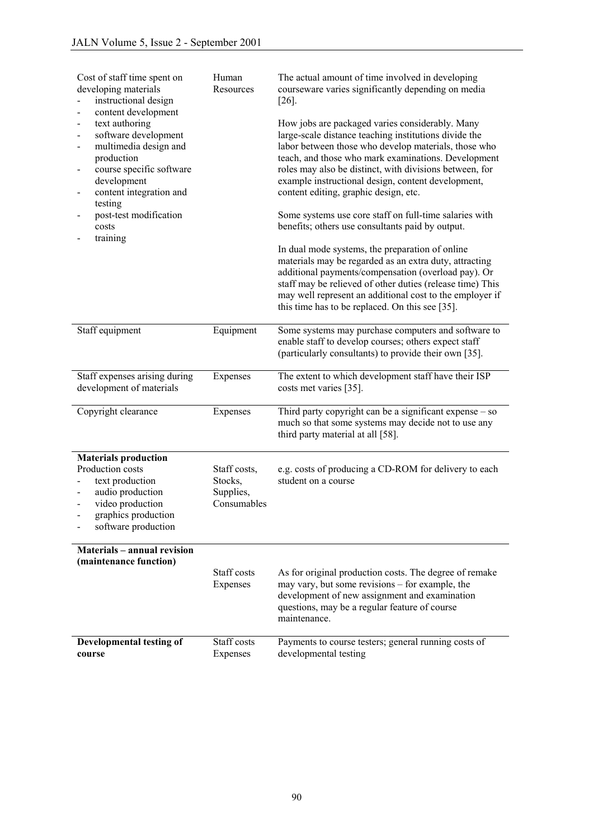| Cost of staff time spent on<br>developing materials<br>instructional design                                                                                                                                                                                                               | Human<br>Resources                                  | The actual amount of time involved in developing<br>courseware varies significantly depending on media<br>$[26]$                                                                                                                                                                                                                                                                  |
|-------------------------------------------------------------------------------------------------------------------------------------------------------------------------------------------------------------------------------------------------------------------------------------------|-----------------------------------------------------|-----------------------------------------------------------------------------------------------------------------------------------------------------------------------------------------------------------------------------------------------------------------------------------------------------------------------------------------------------------------------------------|
| content development<br>text authoring<br>$\blacksquare$<br>software development<br>$\blacksquare$<br>multimedia design and<br>$\blacksquare$<br>production<br>course specific software<br>$\overline{\phantom{0}}$<br>development<br>content integration and<br>$\blacksquare$<br>testing |                                                     | How jobs are packaged varies considerably. Many<br>large-scale distance teaching institutions divide the<br>labor between those who develop materials, those who<br>teach, and those who mark examinations. Development<br>roles may also be distinct, with divisions between, for<br>example instructional design, content development,<br>content editing, graphic design, etc. |
| post-test modification<br>costs<br>training                                                                                                                                                                                                                                               |                                                     | Some systems use core staff on full-time salaries with<br>benefits; others use consultants paid by output.                                                                                                                                                                                                                                                                        |
|                                                                                                                                                                                                                                                                                           |                                                     | In dual mode systems, the preparation of online<br>materials may be regarded as an extra duty, attracting<br>additional payments/compensation (overload pay). Or<br>staff may be relieved of other duties (release time) This<br>may well represent an additional cost to the employer if<br>this time has to be replaced. On this see [35].                                      |
| Staff equipment                                                                                                                                                                                                                                                                           | Equipment                                           | Some systems may purchase computers and software to<br>enable staff to develop courses; others expect staff<br>(particularly consultants) to provide their own [35].                                                                                                                                                                                                              |
| Staff expenses arising during<br>development of materials                                                                                                                                                                                                                                 | Expenses                                            | The extent to which development staff have their ISP<br>costs met varies [35].                                                                                                                                                                                                                                                                                                    |
| Copyright clearance                                                                                                                                                                                                                                                                       | Expenses                                            | Third party copyright can be a significant expense $-$ so<br>much so that some systems may decide not to use any<br>third party material at all [58].                                                                                                                                                                                                                             |
| <b>Materials production</b>                                                                                                                                                                                                                                                               |                                                     |                                                                                                                                                                                                                                                                                                                                                                                   |
| Production costs<br>text production<br>audio production<br>$\blacksquare$<br>video production<br>graphics production<br>software production                                                                                                                                               | Staff costs,<br>Stocks,<br>Supplies,<br>Consumables | e.g. costs of producing a CD-ROM for delivery to each<br>student on a course                                                                                                                                                                                                                                                                                                      |
| <b>Materials - annual revision</b>                                                                                                                                                                                                                                                        |                                                     |                                                                                                                                                                                                                                                                                                                                                                                   |
| (maintenance function)                                                                                                                                                                                                                                                                    | Staff costs<br>Expenses                             | As for original production costs. The degree of remake<br>may vary, but some revisions – for example, the<br>development of new assignment and examination<br>questions, may be a regular feature of course<br>maintenance.                                                                                                                                                       |
| Developmental testing of<br>course                                                                                                                                                                                                                                                        | Staff costs<br>Expenses                             | Payments to course testers; general running costs of<br>developmental testing                                                                                                                                                                                                                                                                                                     |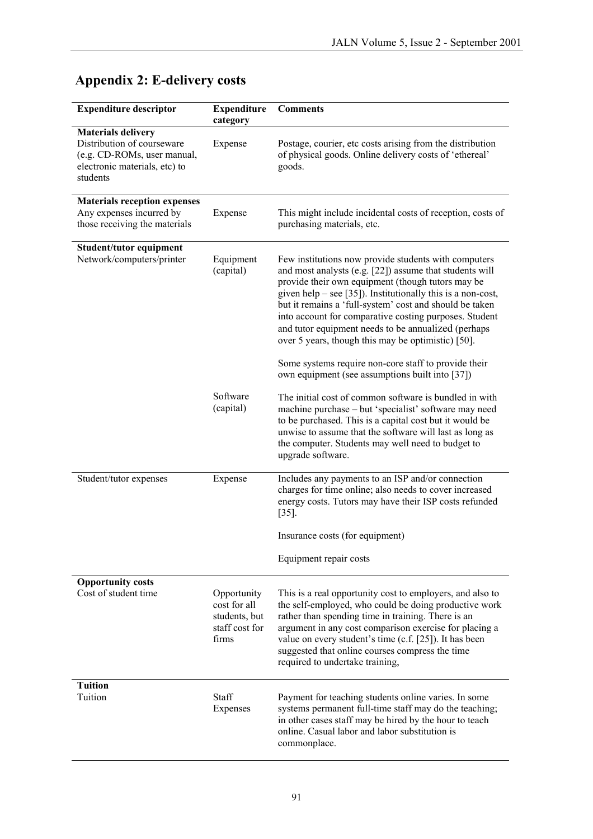| <b>Expenditure descriptor</b>                                                                                                       | <b>Expenditure</b><br>category                                          | <b>Comments</b>                                                                                                                                                                                                                                                                                                                                                                                                                                                                                                                 |
|-------------------------------------------------------------------------------------------------------------------------------------|-------------------------------------------------------------------------|---------------------------------------------------------------------------------------------------------------------------------------------------------------------------------------------------------------------------------------------------------------------------------------------------------------------------------------------------------------------------------------------------------------------------------------------------------------------------------------------------------------------------------|
| <b>Materials delivery</b><br>Distribution of courseware<br>(e.g. CD-ROMs, user manual,<br>electronic materials, etc) to<br>students | Expense                                                                 | Postage, courier, etc costs arising from the distribution<br>of physical goods. Online delivery costs of 'ethereal'<br>goods.                                                                                                                                                                                                                                                                                                                                                                                                   |
| <b>Materials reception expenses</b><br>Any expenses incurred by<br>those receiving the materials                                    | Expense                                                                 | This might include incidental costs of reception, costs of<br>purchasing materials, etc.                                                                                                                                                                                                                                                                                                                                                                                                                                        |
| Student/tutor equipment<br>Network/computers/printer                                                                                | Equipment<br>(capital)                                                  | Few institutions now provide students with computers<br>and most analysts (e.g. [22]) assume that students will<br>provide their own equipment (though tutors may be<br>given help $-$ see [35]). Institutionally this is a non-cost,<br>but it remains a 'full-system' cost and should be taken<br>into account for comparative costing purposes. Student<br>and tutor equipment needs to be annualized (perhaps<br>over 5 years, though this may be optimistic) [50].<br>Some systems require non-core staff to provide their |
|                                                                                                                                     | Software<br>(capital)                                                   | own equipment (see assumptions built into [37])<br>The initial cost of common software is bundled in with<br>machine purchase - but 'specialist' software may need<br>to be purchased. This is a capital cost but it would be<br>unwise to assume that the software will last as long as<br>the computer. Students may well need to budget to<br>upgrade software.                                                                                                                                                              |
| Student/tutor expenses                                                                                                              | Expense                                                                 | Includes any payments to an ISP and/or connection<br>charges for time online; also needs to cover increased<br>energy costs. Tutors may have their ISP costs refunded<br>$[35]$ .                                                                                                                                                                                                                                                                                                                                               |
|                                                                                                                                     |                                                                         | Insurance costs (for equipment)                                                                                                                                                                                                                                                                                                                                                                                                                                                                                                 |
|                                                                                                                                     |                                                                         | Equipment repair costs                                                                                                                                                                                                                                                                                                                                                                                                                                                                                                          |
| <b>Opportunity costs</b><br>Cost of student time                                                                                    | Opportunity<br>cost for all<br>students, but<br>staff cost for<br>firms | This is a real opportunity cost to employers, and also to<br>the self-employed, who could be doing productive work<br>rather than spending time in training. There is an<br>argument in any cost comparison exercise for placing a<br>value on every student's time (c.f. [25]). It has been<br>suggested that online courses compress the time<br>required to undertake training,                                                                                                                                              |
| <b>Tuition</b><br>Tuition                                                                                                           | Staff<br>Expenses                                                       | Payment for teaching students online varies. In some<br>systems permanent full-time staff may do the teaching;<br>in other cases staff may be hired by the hour to teach<br>online. Casual labor and labor substitution is<br>commonplace.                                                                                                                                                                                                                                                                                      |

## **Appendix 2: E-delivery costs**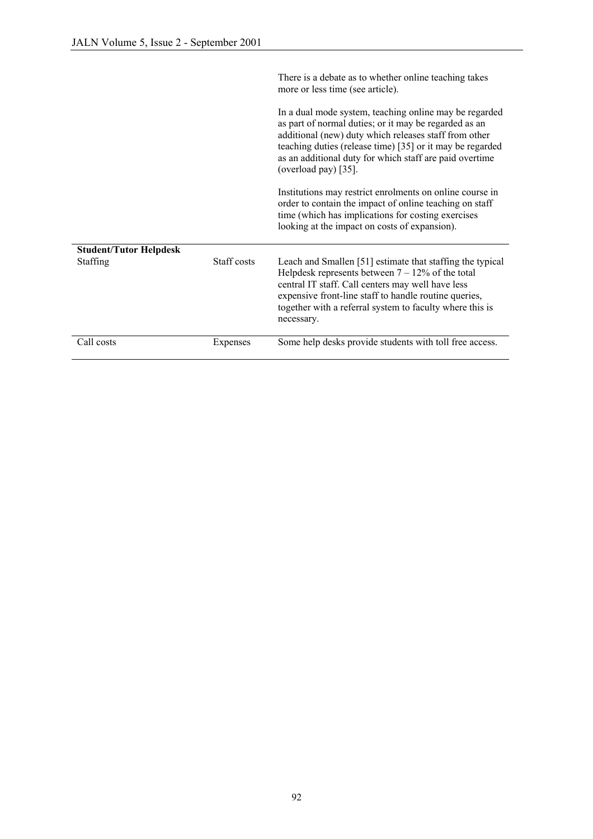|                               |             | There is a debate as to whether online teaching takes<br>more or less time (see article).                                                                                                                                                                                                                                |
|-------------------------------|-------------|--------------------------------------------------------------------------------------------------------------------------------------------------------------------------------------------------------------------------------------------------------------------------------------------------------------------------|
|                               |             | In a dual mode system, teaching online may be regarded<br>as part of normal duties; or it may be regarded as an<br>additional (new) duty which releases staff from other<br>teaching duties (release time) [35] or it may be regarded<br>as an additional duty for which staff are paid overtime<br>(overload pay) [35]. |
|                               |             | Institutions may restrict enrolments on online course in<br>order to contain the impact of online teaching on staff<br>time (which has implications for costing exercises)<br>looking at the impact on costs of expansion).                                                                                              |
| <b>Student/Tutor Helpdesk</b> |             |                                                                                                                                                                                                                                                                                                                          |
| Staffing                      | Staff costs | Leach and Smallen [51] estimate that staffing the typical<br>Helpdesk represents between $7 - 12\%$ of the total<br>central IT staff. Call centers may well have less<br>expensive front-line staff to handle routine queries,<br>together with a referral system to faculty where this is<br>necessary.                 |
| Call costs                    | Expenses    | Some help desks provide students with toll free access.                                                                                                                                                                                                                                                                  |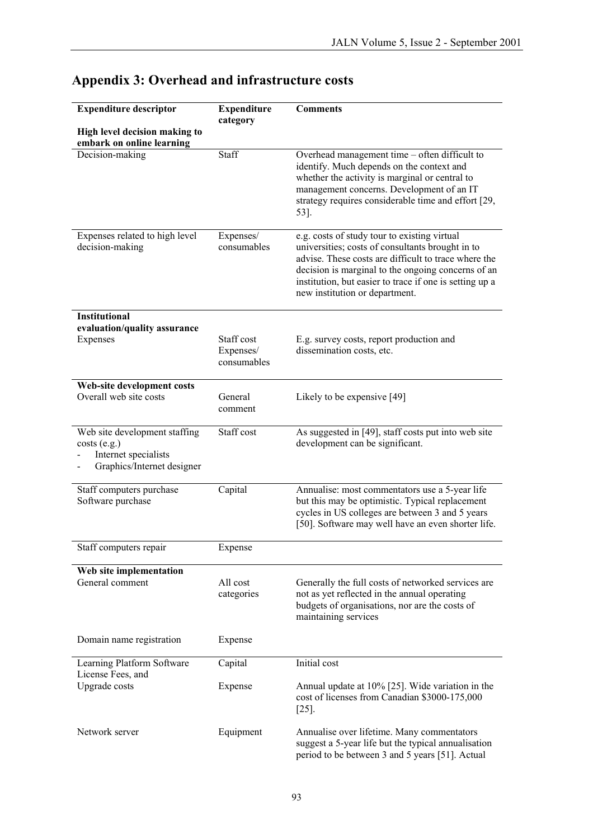| <b>Expenditure descriptor</b>                                                                      | <b>Expenditure</b><br>category         | <b>Comments</b>                                                                                                                                                                                                                                                                                             |
|----------------------------------------------------------------------------------------------------|----------------------------------------|-------------------------------------------------------------------------------------------------------------------------------------------------------------------------------------------------------------------------------------------------------------------------------------------------------------|
| High level decision making to<br>embark on online learning                                         |                                        |                                                                                                                                                                                                                                                                                                             |
| Decision-making                                                                                    | Staff                                  | Overhead management time – often difficult to<br>identify. Much depends on the context and<br>whether the activity is marginal or central to<br>management concerns. Development of an IT<br>strategy requires considerable time and effort [29,<br>53].                                                    |
| Expenses related to high level<br>decision-making                                                  | Expenses/<br>consumables               | e.g. costs of study tour to existing virtual<br>universities; costs of consultants brought in to<br>advise. These costs are difficult to trace where the<br>decision is marginal to the ongoing concerns of an<br>institution, but easier to trace if one is setting up a<br>new institution or department. |
| <b>Institutional</b>                                                                               |                                        |                                                                                                                                                                                                                                                                                                             |
| evaluation/quality assurance<br>Expenses                                                           | Staff cost<br>Expenses/<br>consumables | E.g. survey costs, report production and<br>dissemination costs, etc.                                                                                                                                                                                                                                       |
| Web-site development costs<br>Overall web site costs                                               | General<br>comment                     | Likely to be expensive [49]                                                                                                                                                                                                                                                                                 |
| Web site development staffing<br>costs(e.g.)<br>Internet specialists<br>Graphics/Internet designer | Staff cost                             | As suggested in [49], staff costs put into web site<br>development can be significant.                                                                                                                                                                                                                      |
| Staff computers purchase<br>Software purchase                                                      | Capital                                | Annualise: most commentators use a 5-year life<br>but this may be optimistic. Typical replacement<br>cycles in US colleges are between 3 and 5 years<br>[50]. Software may well have an even shorter life.                                                                                                  |
| Staff computers repair                                                                             | Expense                                |                                                                                                                                                                                                                                                                                                             |
| Web site implementation<br>General comment                                                         | All cost<br>categories                 | Generally the full costs of networked services are<br>not as yet reflected in the annual operating<br>budgets of organisations, nor are the costs of<br>maintaining services                                                                                                                                |
| Domain name registration                                                                           | Expense                                |                                                                                                                                                                                                                                                                                                             |
| Learning Platform Software                                                                         | Capital                                | Initial cost                                                                                                                                                                                                                                                                                                |
| License Fees, and<br>Upgrade costs                                                                 | Expense                                | Annual update at 10% [25]. Wide variation in the<br>cost of licenses from Canadian \$3000-175,000<br>$[25]$ .                                                                                                                                                                                               |
| Network server                                                                                     | Equipment                              | Annualise over lifetime. Many commentators<br>suggest a 5-year life but the typical annualisation<br>period to be between 3 and 5 years [51]. Actual                                                                                                                                                        |

# **Appendix 3: Overhead and infrastructure costs**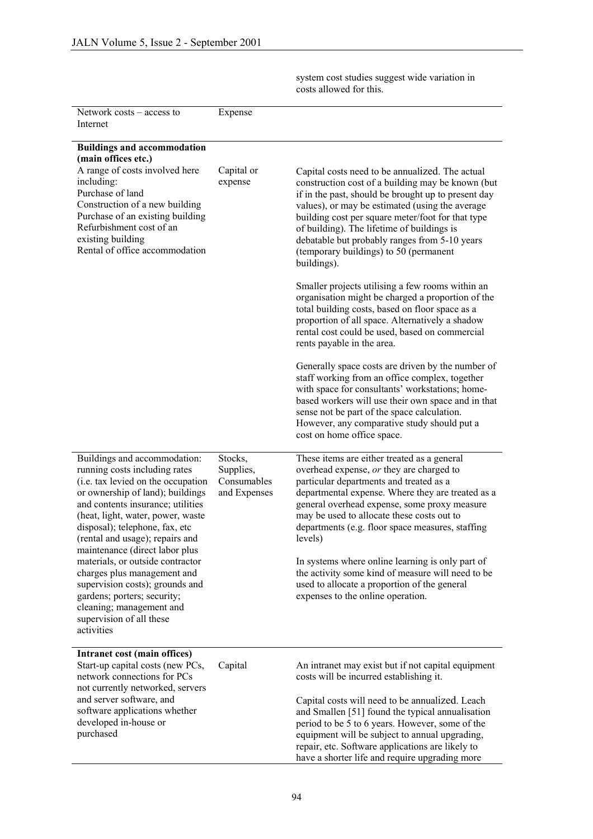system cost studies suggest wide variation in costs allowed for this.

| Network costs – access to<br>Internet                                                                                                                                                                                                                                                                                                                                                                                                                                                                                               | Expense                                             |                                                                                                                                                                                                                                                                                                                                                                                                                                                                                                                                                    |
|-------------------------------------------------------------------------------------------------------------------------------------------------------------------------------------------------------------------------------------------------------------------------------------------------------------------------------------------------------------------------------------------------------------------------------------------------------------------------------------------------------------------------------------|-----------------------------------------------------|----------------------------------------------------------------------------------------------------------------------------------------------------------------------------------------------------------------------------------------------------------------------------------------------------------------------------------------------------------------------------------------------------------------------------------------------------------------------------------------------------------------------------------------------------|
| <b>Buildings and accommodation</b><br>(main offices etc.)                                                                                                                                                                                                                                                                                                                                                                                                                                                                           |                                                     |                                                                                                                                                                                                                                                                                                                                                                                                                                                                                                                                                    |
| A range of costs involved here<br>including:<br>Purchase of land<br>Construction of a new building<br>Purchase of an existing building<br>Refurbishment cost of an<br>existing building<br>Rental of office accommodation                                                                                                                                                                                                                                                                                                           | Capital or<br>expense                               | Capital costs need to be annualized. The actual<br>construction cost of a building may be known (but<br>if in the past, should be brought up to present day<br>values), or may be estimated (using the average<br>building cost per square meter/foot for that type<br>of building). The lifetime of buildings is<br>debatable but probably ranges from 5-10 years<br>(temporary buildings) to 50 (permanent<br>buildings).                                                                                                                        |
|                                                                                                                                                                                                                                                                                                                                                                                                                                                                                                                                     |                                                     | Smaller projects utilising a few rooms within an<br>organisation might be charged a proportion of the<br>total building costs, based on floor space as a<br>proportion of all space. Alternatively a shadow<br>rental cost could be used, based on commercial<br>rents payable in the area.                                                                                                                                                                                                                                                        |
|                                                                                                                                                                                                                                                                                                                                                                                                                                                                                                                                     |                                                     | Generally space costs are driven by the number of<br>staff working from an office complex, together<br>with space for consultants' workstations; home-<br>based workers will use their own space and in that<br>sense not be part of the space calculation.<br>However, any comparative study should put a<br>cost on home office space.                                                                                                                                                                                                           |
| Buildings and accommodation:<br>running costs including rates<br>(i.e. tax levied on the occupation<br>or ownership of land); buildings<br>and contents insurance; utilities<br>(heat, light, water, power, waste<br>disposal); telephone, fax, etc<br>(rental and usage); repairs and<br>maintenance (direct labor plus<br>materials, or outside contractor<br>charges plus management and<br>supervision costs); grounds and<br>gardens; porters; security;<br>cleaning; management and<br>supervision of all these<br>activities | Stocks,<br>Supplies,<br>Consumables<br>and Expenses | These items are either treated as a general<br>overhead expense, or they are charged to<br>particular departments and treated as a<br>departmental expense. Where they are treated as a<br>general overhead expense, some proxy measure<br>may be used to allocate these costs out to<br>departments (e.g. floor space measures, staffing<br>levels)<br>In systems where online learning is only part of<br>the activity some kind of measure will need to be<br>used to allocate a proportion of the general<br>expenses to the online operation. |
| Intranet cost (main offices)<br>Start-up capital costs (new PCs,<br>network connections for PCs<br>not currently networked, servers<br>and server software, and<br>software applications whether<br>developed in-house or<br>purchased                                                                                                                                                                                                                                                                                              | Capital                                             | An intranet may exist but if not capital equipment<br>costs will be incurred establishing it.<br>Capital costs will need to be annualized. Leach<br>and Smallen [51] found the typical annualisation<br>period to be 5 to 6 years. However, some of the<br>equipment will be subject to annual upgrading,<br>repair, etc. Software applications are likely to<br>have a shorter life and require upgrading more                                                                                                                                    |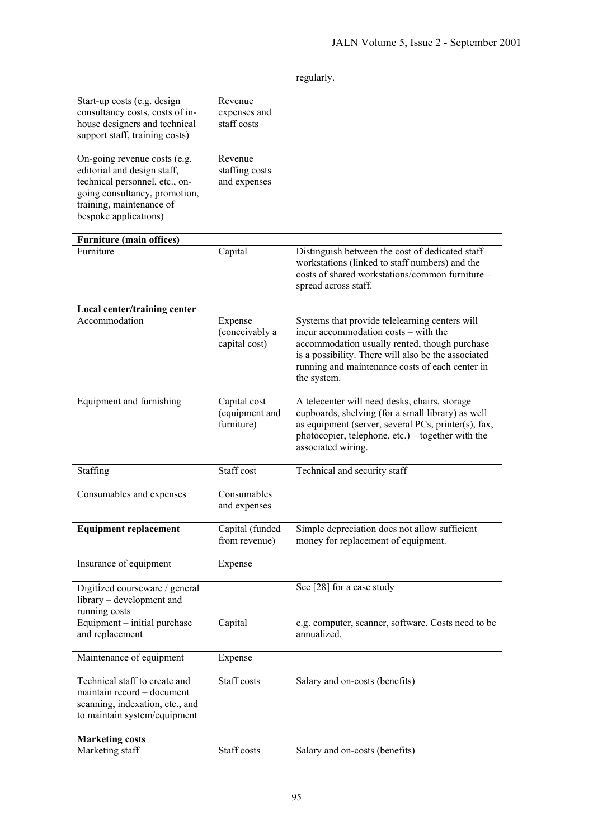| Start-up costs (e.g. design<br>consultancy costs, costs of in-<br>house designers and technical<br>support staff, training costs)                                                   | Revenue<br>expenses and<br>staff costs       |                                                                                                                                                                                                                                                                  |
|-------------------------------------------------------------------------------------------------------------------------------------------------------------------------------------|----------------------------------------------|------------------------------------------------------------------------------------------------------------------------------------------------------------------------------------------------------------------------------------------------------------------|
| On-going revenue costs (e.g.<br>editorial and design staff,<br>technical personnel, etc., on-<br>going consultancy, promotion,<br>training, maintenance of<br>bespoke applications) | Revenue<br>staffing costs<br>and expenses    |                                                                                                                                                                                                                                                                  |
| <b>Furniture (main offices)</b>                                                                                                                                                     |                                              |                                                                                                                                                                                                                                                                  |
| Furniture                                                                                                                                                                           | Capital                                      | Distinguish between the cost of dedicated staff<br>workstations (linked to staff numbers) and the<br>costs of shared workstations/common furniture -<br>spread across staff.                                                                                     |
| Local center/training center                                                                                                                                                        |                                              |                                                                                                                                                                                                                                                                  |
| Accommodation                                                                                                                                                                       | Expense<br>(conceivably a<br>capital cost)   | Systems that provide telelearning centers will<br>incur accommodation costs – with the<br>accommodation usually rented, though purchase<br>is a possibility. There will also be the associated<br>running and maintenance costs of each center in<br>the system. |
| Equipment and furnishing                                                                                                                                                            | Capital cost<br>(equipment and<br>furniture) | A telecenter will need desks, chairs, storage<br>cupboards, shelving (for a small library) as well<br>as equipment (server, several PCs, printer(s), fax,<br>photocopier, telephone, etc.) – together with the<br>associated wiring.                             |
| Staffing                                                                                                                                                                            | Staff cost                                   | Technical and security staff                                                                                                                                                                                                                                     |
| Consumables and expenses                                                                                                                                                            | Consumables<br>and expenses                  |                                                                                                                                                                                                                                                                  |
| <b>Equipment replacement</b>                                                                                                                                                        | Capital (funded<br>from revenue)             | Simple depreciation does not allow sufficient<br>money for replacement of equipment.                                                                                                                                                                             |
| Insurance of equipment                                                                                                                                                              | Expense                                      |                                                                                                                                                                                                                                                                  |
| Digitized courseware / general<br>library – development and<br>running costs                                                                                                        |                                              | See [28] for a case study                                                                                                                                                                                                                                        |
| Equipment - initial purchase<br>and replacement                                                                                                                                     | Capital                                      | e.g. computer, scanner, software. Costs need to be<br>annualized.                                                                                                                                                                                                |
| Maintenance of equipment                                                                                                                                                            | Expense                                      |                                                                                                                                                                                                                                                                  |
| Technical staff to create and<br>maintain record - document<br>scanning, indexation, etc., and<br>to maintain system/equipment                                                      | Staff costs                                  | Salary and on-costs (benefits)                                                                                                                                                                                                                                   |
| <b>Marketing costs</b><br>Marketing staff                                                                                                                                           | Staff costs                                  | Salary and on-costs (benefits)                                                                                                                                                                                                                                   |
|                                                                                                                                                                                     |                                              |                                                                                                                                                                                                                                                                  |

regularly.